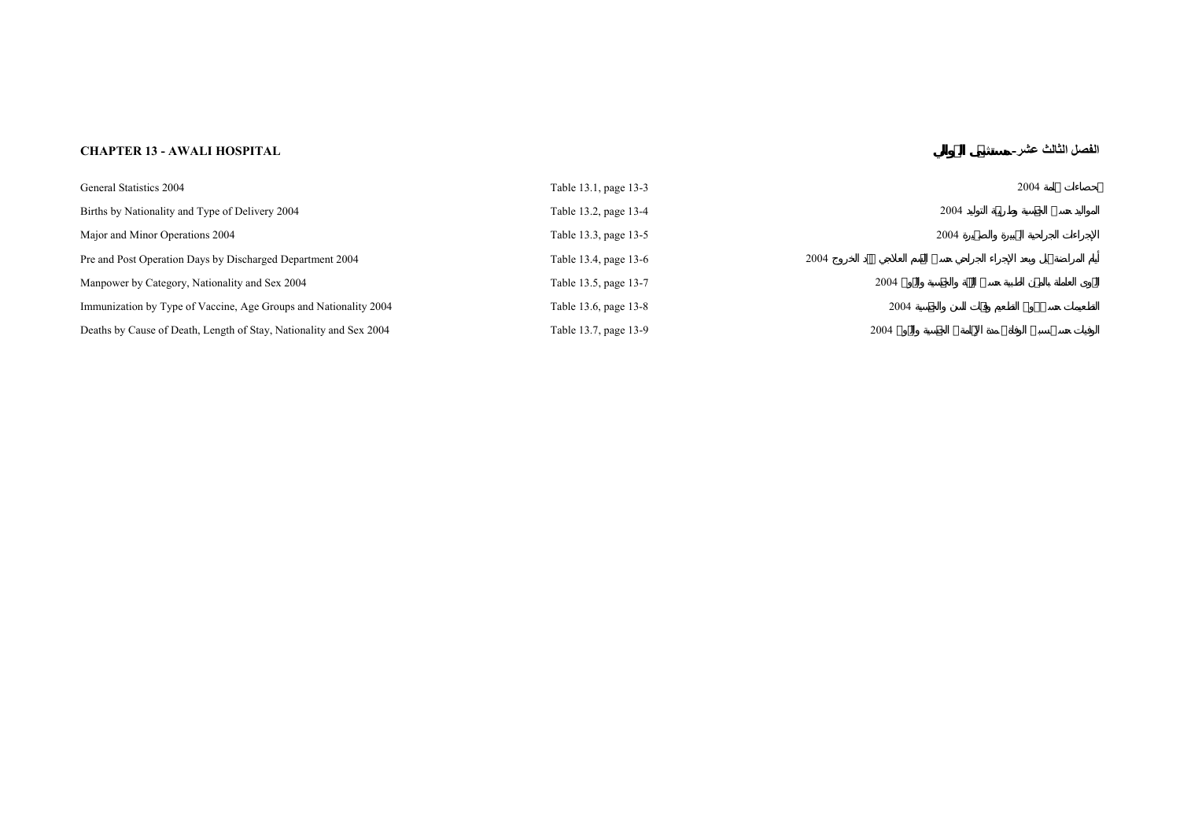## **عشر- HOSPITAL AWALI - 13 CHAPTER**

**الفصل الثالث**

| General Statistics 2004                                            | Table 13.1, page 13-3 |      | 2004 |
|--------------------------------------------------------------------|-----------------------|------|------|
| Births by Nationality and Type of Delivery 2004                    | Table 13.2, page 13-4 |      | 2004 |
| Major and Minor Operations 2004                                    | Table 13.3, page 13-5 |      | 2004 |
| Pre and Post Operation Days by Discharged Department 2004          | Table 13.4, page 13-6 | 2004 |      |
| Manpower by Category, Nationality and Sex 2004                     | Table 13.5, page 13-7 | 2004 |      |
| Immunization by Type of Vaccine, Age Groups and Nationality 2004   | Table 13.6, page 13-8 | 2004 |      |
| Deaths by Cause of Death, Length of Stay, Nationality and Sex 2004 | Table 13.7, page 13-9 | 2004 |      |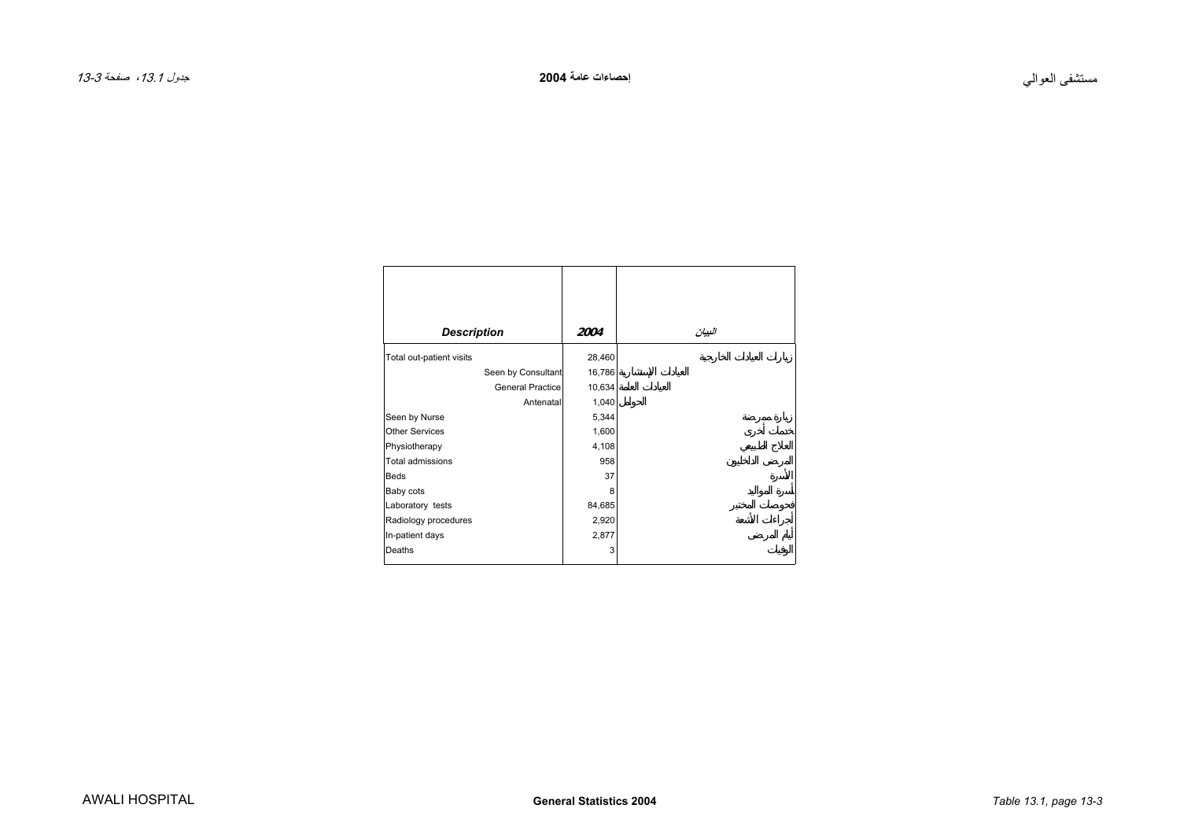<span id="page-2-0"></span>

| <b>Description</b>       | 2004   | البيان |
|--------------------------|--------|--------|
| Total out-patient visits | 28,460 |        |
| Seen by Consultant       | 16,786 |        |
| <b>General Practice</b>  | 10,634 |        |
| Antenatal                | 1,040  |        |
| Seen by Nurse            | 5,344  |        |
| <b>Other Services</b>    | 1,600  |        |
| Physiotherapy            | 4,108  |        |
| Total admissions         | 958    |        |
| <b>Beds</b>              | 37     |        |
| Baby cots                | 8      |        |
| Laboratory tests         | 84,685 |        |
| Radiology procedures     | 2,920  |        |
| In-patient days          | 2,877  |        |
| Deaths                   | 3      |        |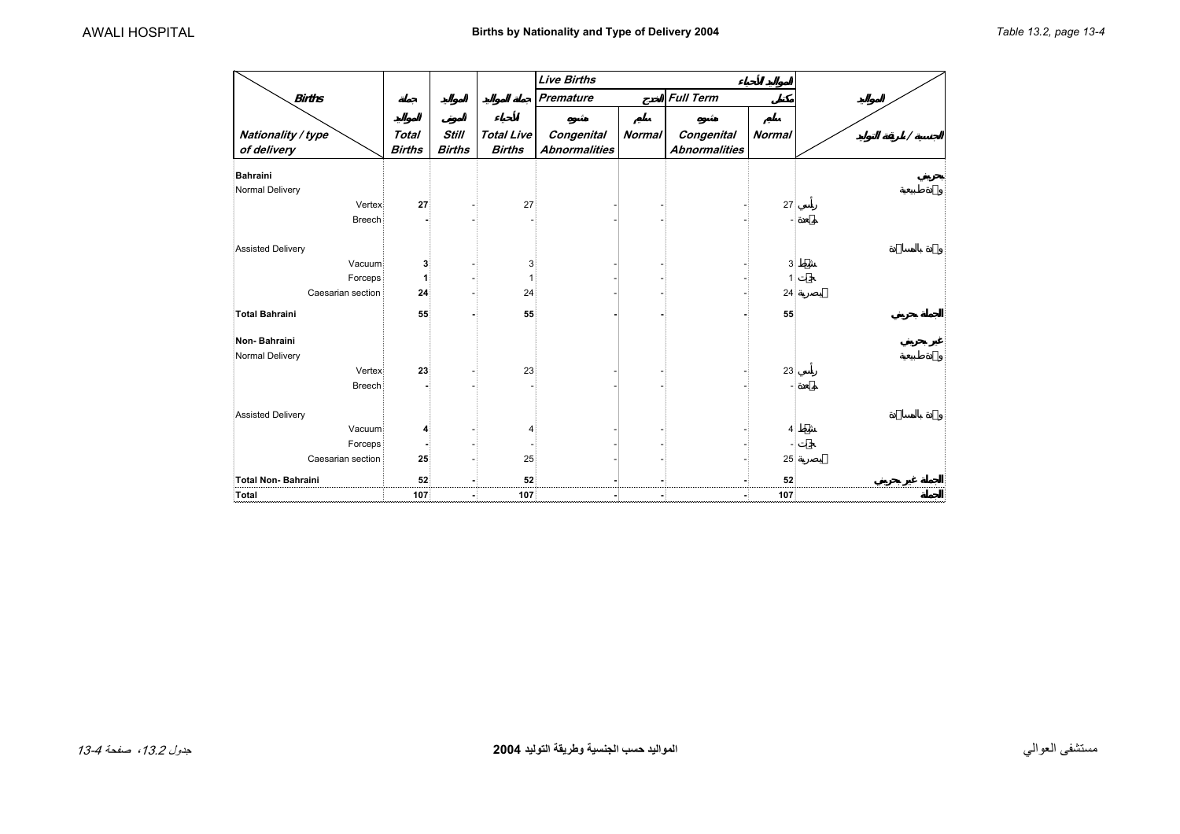<span id="page-3-0"></span>

|                          |               |               |                   | <b>Live Births</b>   |               |                      |               |  |
|--------------------------|---------------|---------------|-------------------|----------------------|---------------|----------------------|---------------|--|
| <b>Births</b>            |               |               |                   | <b>Premature</b>     |               | <b>Full Term</b>     |               |  |
|                          |               |               |                   |                      |               |                      |               |  |
| Nationality / type       | <b>Total</b>  | <b>Still</b>  | <b>Total Live</b> | Congenital           | <b>Normal</b> | Congenital           | <b>Normal</b> |  |
| of delivery              | <b>Births</b> | <b>Births</b> | <b>Births</b>     | <b>Abnormalities</b> |               | <b>Abnormalities</b> |               |  |
| Bahraini                 |               |               |                   |                      |               |                      |               |  |
| Normal Delivery          |               |               |                   |                      |               |                      |               |  |
| Vertex                   | 27            |               | 27                |                      |               |                      | 27            |  |
| <b>Breech</b>            |               |               |                   |                      |               |                      |               |  |
|                          |               |               |                   |                      |               |                      |               |  |
| Assisted Delivery        |               |               |                   |                      |               |                      |               |  |
| Vacuum                   | 3             |               | 3                 |                      |               |                      | 3             |  |
| Forceps                  | 1             |               |                   |                      |               |                      |               |  |
| Caesarian section        | 24            |               | 24                |                      |               |                      | 24            |  |
| Total Bahraini           | 55            |               | 55                |                      |               |                      | 55            |  |
|                          |               |               |                   |                      |               |                      |               |  |
| Non-Bahraini             |               |               |                   |                      |               |                      |               |  |
| Normal Delivery          |               |               |                   |                      |               |                      |               |  |
| Vertex                   | 23            |               | 23                |                      |               |                      | 23            |  |
| <b>Breech</b>            |               |               |                   |                      |               |                      |               |  |
|                          |               |               |                   |                      |               |                      |               |  |
| <b>Assisted Delivery</b> |               |               |                   |                      |               |                      |               |  |
| Vacuum                   | 4             |               | 4                 |                      |               |                      | Δ             |  |
| Forceps                  |               |               |                   |                      |               |                      |               |  |
| Caesarian section        | 25            |               | 25                |                      |               |                      | 25            |  |
| Total Non-Bahraini       | 52            |               | 52                |                      |               |                      | 52            |  |
| Total                    | 107           |               | 107               |                      |               |                      | 107           |  |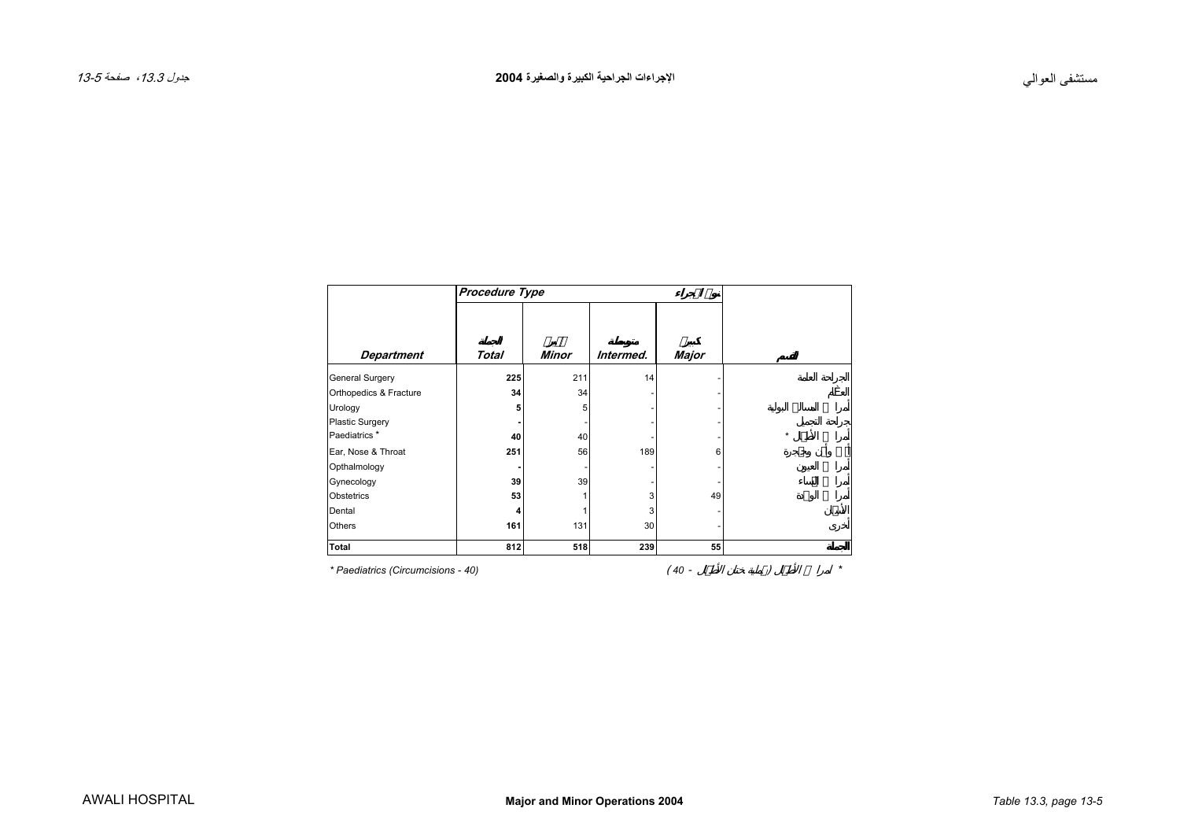<span id="page-4-0"></span>

|                                    | Procedure Type |              |           |       |         |
|------------------------------------|----------------|--------------|-----------|-------|---------|
|                                    | Total          | <b>Minor</b> | Intermed. |       |         |
| <b>Department</b>                  |                |              |           | Major |         |
| General Surgery                    | 225            | 211          | 14        |       |         |
| Orthopedics & Fracture             | 34             | 34           |           |       |         |
| Urology                            | 5              | 5            |           |       |         |
| <b>Plastic Surgery</b>             |                |              |           |       |         |
| Paediatrics <sup>*</sup>           | 40             | 40           |           |       | $\star$ |
| Ear, Nose & Throat                 | 251            | 56           | 189       | 6     |         |
| Opthalmology                       |                |              |           |       |         |
| Gynecology                         | 39             | 39           |           |       |         |
| Obstetrics                         | 53             |              | 3         | 49    |         |
| Dental                             |                |              | 3         |       |         |
| Others                             | 161            | 131          | 30        |       |         |
| Total                              | 812            | 518          | 239       | 55    |         |
| * Paediatrics (Circumcisions - 40) |                |              |           | 40 -  |         |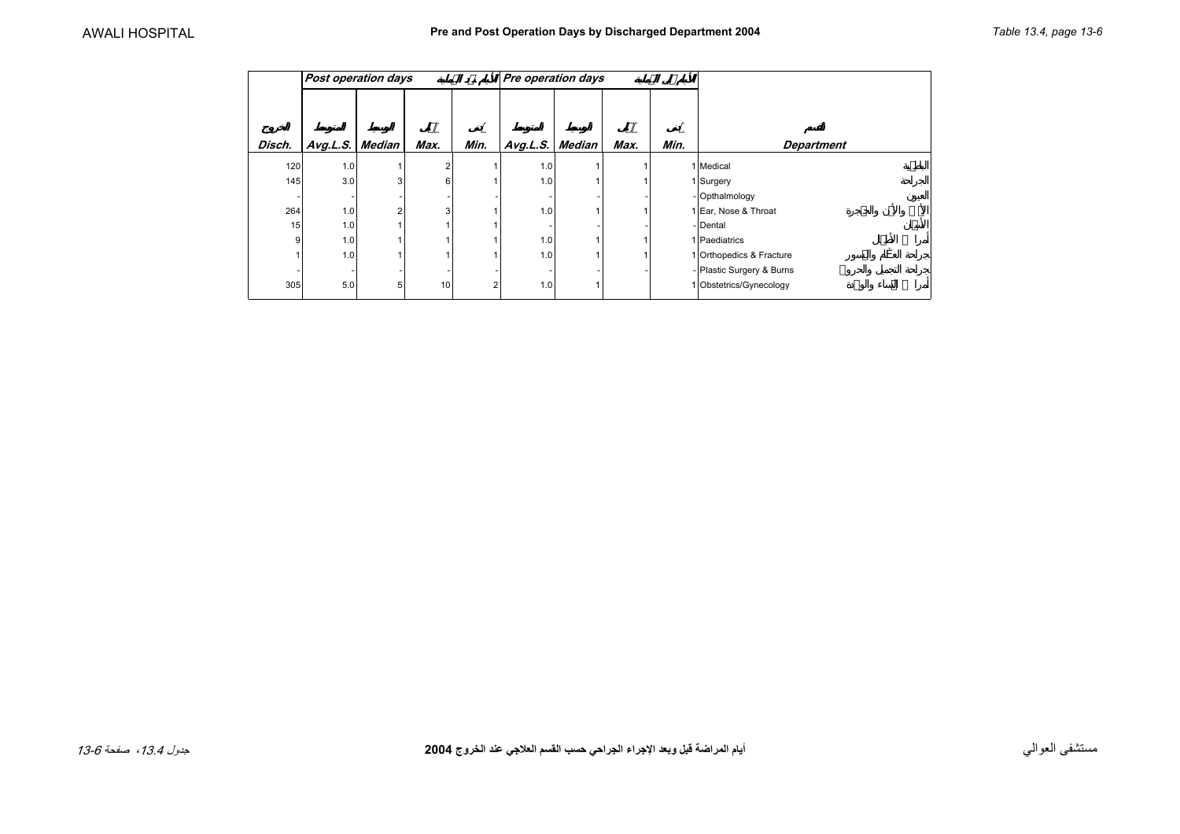<span id="page-5-0"></span>

|        | <b>Post operation days</b> |        |      |      | Pre operation days |        |      |      |                           |
|--------|----------------------------|--------|------|------|--------------------|--------|------|------|---------------------------|
| Disch. | Avg.L.S.                   | Median | Max. | Min. | Avg.L.S.           | Median | Max. | Min. | <b>Department</b>         |
| 120    | 1.0                        |        | 2    |      | 1.0                |        |      |      | 1 Medical                 |
| 145    | 3.0                        | 3      | 6    |      | 1.0                |        |      |      | 1 Surgery                 |
|        |                            |        |      |      |                    |        |      |      | - Opthalmology            |
| 264    | 1.0                        | $\sim$ | 3    |      | 1.0                |        |      |      | 1 Ear, Nose & Throat      |
| 15     | 1.0                        |        |      |      |                    |        |      |      | - Dental                  |
| 9      | 1.0                        |        |      |      | 1.0                |        |      |      | 1 Paediatrics             |
|        | 1.0                        |        |      |      | 1.0                |        |      |      | 1 Orthopedics & Fracture  |
|        |                            |        |      |      |                    |        |      |      | - Plastic Surgery & Burns |
| 305    | 5.0                        | 5      | 10   |      | 1.0                |        |      |      | 1 Obstetrics/Gynecology   |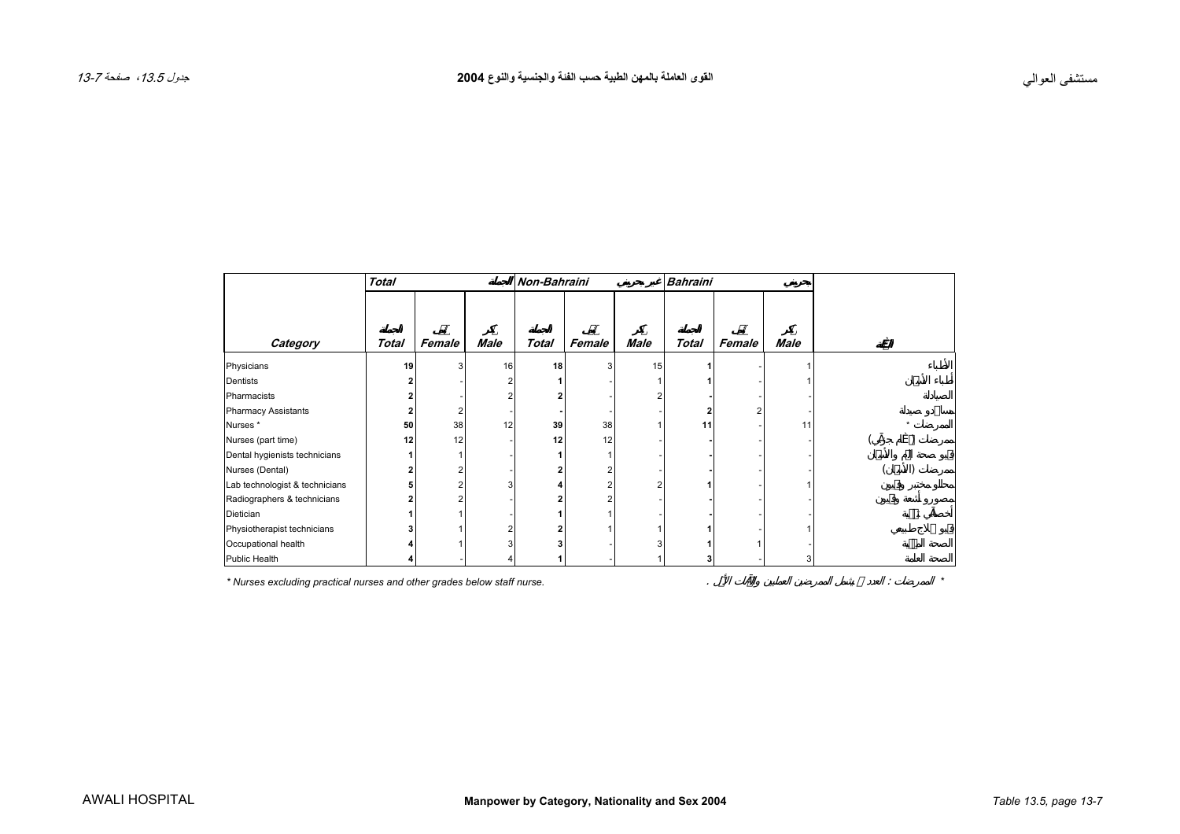<span id="page-6-0"></span>

|                                | <b>Total</b> |        |      | <b>Non-Bahraini</b> |        |             | <b>Bahraini</b> |        |      |  |
|--------------------------------|--------------|--------|------|---------------------|--------|-------------|-----------------|--------|------|--|
|                                |              |        |      |                     |        |             |                 |        |      |  |
| Category                       | <b>Total</b> | Female | Male | <b>Total</b>        | Female | <b>Male</b> | <b>Total</b>    | Female | Male |  |
| Physicians                     | 19           |        | 16   | 18                  |        | 15          |                 |        |      |  |
| Dentists                       |              |        |      |                     |        |             |                 |        |      |  |
| Pharmacists                    |              |        |      | 2                   |        | c           |                 |        |      |  |
| <b>Pharmacy Assistants</b>     |              |        |      |                     |        |             |                 |        |      |  |
| Nurses *                       | 50           | 38     | 12   | 39                  | 38     |             | 11              |        | 11   |  |
| Nurses (part time)             | 12           | 12     |      | 12                  | 12     |             |                 |        |      |  |
| Dental hygienists technicians  |              |        |      |                     |        |             |                 |        |      |  |
| Nurses (Dental)                |              |        |      |                     |        |             |                 |        |      |  |
| Lab technologist & technicians |              |        |      |                     |        |             |                 |        |      |  |
| Radiographers & technicians    |              |        |      |                     |        |             |                 |        |      |  |
| Dietician                      |              |        |      |                     |        |             |                 |        |      |  |
| Physiotherapist technicians    |              |        |      |                     |        |             |                 |        |      |  |
| Occupational health            |              |        |      |                     |        |             |                 |        |      |  |
| Public Health                  |              |        |      |                     |        |             |                 |        | 3    |  |

*\* Nurses excluding practical nurses and other grades below staff nurse.* . : *\**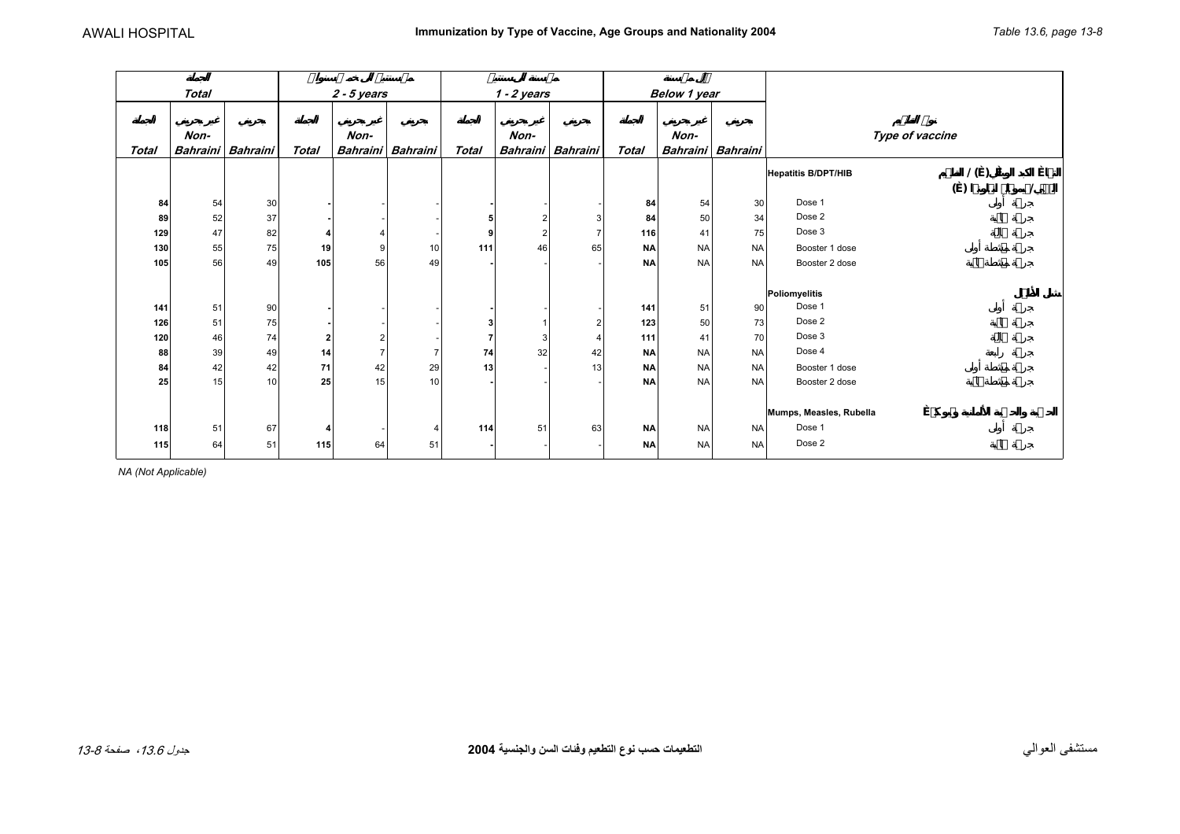<span id="page-7-0"></span>

|              | <b>Total</b> |                   | $2 - 5$ years |                |                   | $1 - 2$ years |      |                   | Below 1 year |           |                   |                                   |     |  |  |
|--------------|--------------|-------------------|---------------|----------------|-------------------|---------------|------|-------------------|--------------|-----------|-------------------|-----------------------------------|-----|--|--|
| <b>Total</b> | Non-         | Bahraini Bahraini | <b>Total</b>  | Non-           | Bahraini Bahraini | <b>Total</b>  | Non- | Bahraini Bahraini | <b>Total</b> | Non-      | Bahraini Bahraini | Type of vaccine                   |     |  |  |
|              |              |                   |               |                |                   |               |      |                   |              |           |                   | 1()<br><b>Hepatitis B/DPT/HIB</b> |     |  |  |
|              |              |                   |               |                |                   |               |      |                   |              |           |                   |                                   | ( ) |  |  |
| 84           | 54           | 30                |               |                |                   |               |      |                   | 84           | 54        | 30                | Dose 1                            |     |  |  |
| 89           | 52           | 37                |               |                |                   | 5             |      | 3                 | 84           | 50        | 34                | Dose 2                            |     |  |  |
| 129          | 47           | 82                |               | $\overline{4}$ |                   | 9             | 2    |                   | 116          | 41        | 75                | Dose 3                            |     |  |  |
| 130          | 55           | 75                | 19            | 9              | 10                | 111           | 46   | 65                | <b>NA</b>    | <b>NA</b> | <b>NA</b>         | Booster 1 dose                    |     |  |  |
| 105          | 56           | 49                | 105           | 56             | 49                |               |      |                   | <b>NA</b>    | <b>NA</b> | <b>NA</b>         | Booster 2 dose                    |     |  |  |
|              |              |                   |               |                |                   |               |      |                   |              |           |                   |                                   |     |  |  |
|              |              |                   |               |                |                   |               |      |                   |              |           |                   | Poliomyelitis                     |     |  |  |
| 141          | 51           | 90                |               |                |                   |               |      |                   | 141          | 51        | 90                | Dose 1                            |     |  |  |
| 126          | 51           | 75                |               |                |                   |               |      | 2 <sub>l</sub>    | 123          | 50        | 73                | Dose 2                            |     |  |  |
| 120          | 46           | 74                | 2             | $\overline{2}$ |                   |               | 3    | $\overline{4}$    | 111          | 41        | 70                | Dose 3                            |     |  |  |
| 88           | 39           | 49                | 14            | $\overline{7}$ |                   | 74            | 32   | 42                | <b>NA</b>    | <b>NA</b> | <b>NA</b>         | Dose 4                            |     |  |  |
| 84           | 42           | 42                | 71            | 42             | 29                | 13            |      | 13                | <b>NA</b>    | <b>NA</b> | <b>NA</b>         | Booster 1 dose                    |     |  |  |
| 25           | 15           | 10                | 25            | 15             | 10                |               |      |                   | <b>NA</b>    | <b>NA</b> | <b>NA</b>         | Booster 2 dose                    |     |  |  |
|              |              |                   |               |                |                   |               |      |                   |              |           |                   |                                   |     |  |  |
|              |              |                   |               |                |                   |               |      |                   |              |           |                   | Mumps, Measles, Rubella           |     |  |  |
| 118          | 51           | 67                | Δ             |                | Δ                 | 114           | 51   | 63                | <b>NA</b>    | <b>NA</b> | <b>NA</b>         | Dose 1                            |     |  |  |
| 115          | 64           | 51                | 115           | 64             | 51                |               |      |                   | <b>NA</b>    | <b>NA</b> | <b>NA</b>         | Dose 2                            |     |  |  |
|              |              |                   |               |                |                   |               |      |                   |              |           |                   |                                   |     |  |  |

*NA (Not Applicable)*